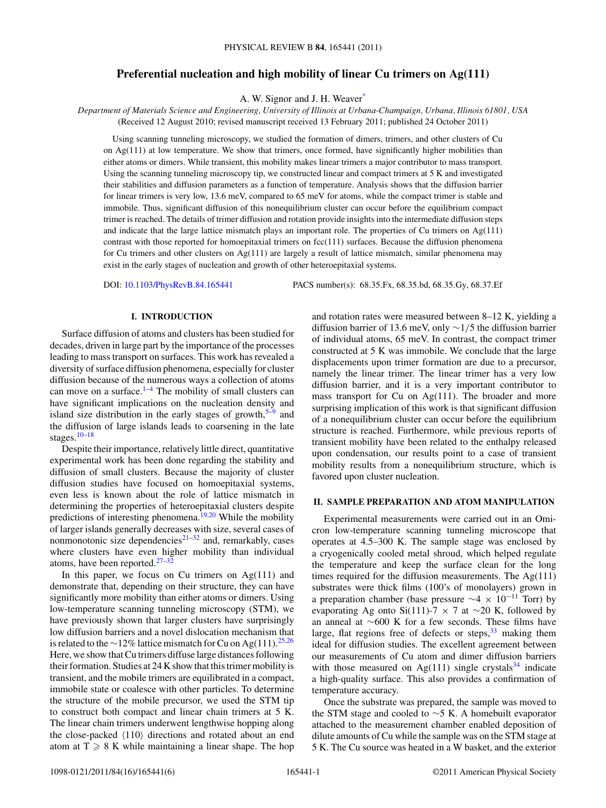# **Preferential nucleation and high mobility of linear Cu trimers on Ag(111)**

A. W. Signor and J. H. Weave[r\\*](#page-4-0)

*Department of Materials Science and Engineering, University of Illinois at Urbana-Champaign, Urbana, Illinois 61801, USA* (Received 12 August 2010; revised manuscript received 13 February 2011; published 24 October 2011)

Using scanning tunneling microscopy, we studied the formation of dimers, trimers, and other clusters of Cu on Ag(111) at low temperature. We show that trimers, once formed, have significantly higher mobilities than either atoms or dimers. While transient, this mobility makes linear trimers a major contributor to mass transport. Using the scanning tunneling microscopy tip, we constructed linear and compact trimers at 5 K and investigated their stabilities and diffusion parameters as a function of temperature. Analysis shows that the diffusion barrier for linear trimers is very low, 13.6 meV, compared to 65 meV for atoms, while the compact trimer is stable and immobile. Thus, significant diffusion of this nonequilibrium cluster can occur before the equilibrium compact trimer is reached. The details of trimer diffusion and rotation provide insights into the intermediate diffusion steps and indicate that the large lattice mismatch plays an important role. The properties of Cu trimers on Ag(111) contrast with those reported for homoepitaxial trimers on fcc(111) surfaces. Because the diffusion phenomena for Cu trimers and other clusters on Ag(111) are largely a result of lattice mismatch, similar phenomena may exist in the early stages of nucleation and growth of other heteroepitaxial systems.

DOI: [10.1103/PhysRevB.84.165441](http://dx.doi.org/10.1103/PhysRevB.84.165441) PACS number(s): 68*.*35*.*Fx, 68*.*35*.*bd, 68*.*35*.*Gy, 68*.*37*.*Ef

## **I. INTRODUCTION**

Surface diffusion of atoms and clusters has been studied for decades, driven in large part by the importance of the processes leading to mass transport on surfaces. This work has revealed a diversity of surface diffusion phenomena, especially for cluster diffusion because of the numerous ways a collection of atoms can move on a surface. $1-4$  The mobility of small clusters can have significant implications on the nucleation density and island size distribution in the early stages of growth,  $5-9$  $5-9$  and the diffusion of large islands leads to coarsening in the late stages[.10–18](#page-5-0)

Despite their importance, relatively little direct, quantitative experimental work has been done regarding the stability and diffusion of small clusters. Because the majority of cluster diffusion studies have focused on homoepitaxial systems, even less is known about the role of lattice mismatch in determining the properties of heteroepitaxial clusters despite predictions of interesting phenomena.<sup>[19,20](#page-5-0)</sup> While the mobility of larger islands generally decreases with size, several cases of nonmonotonic size dependencies $2^{1-32}$  and, remarkably, cases where clusters have even higher mobility than individual atoms, have been reported. $27-32$ 

In this paper, we focus on Cu trimers on  $Ag(111)$  and demonstrate that, depending on their structure, they can have significantly more mobility than either atoms or dimers. Using low-temperature scanning tunneling microscopy (STM), we have previously shown that larger clusters have surprisingly low diffusion barriers and a novel dislocation mechanism that is related to the ∼12% lattice mismatch for Cu on Ag(111).<sup>[25,26](#page-5-0)</sup> Here, we show that Cu trimers diffuse large distances following their formation. Studies at 24 K show that this trimer mobility is transient, and the mobile trimers are equilibrated in a compact, immobile state or coalesce with other particles. To determine the structure of the mobile precursor, we used the STM tip to construct both compact and linear chain trimers at 5 K. The linear chain trimers underwent lengthwise hopping along the close-packed  $\langle 110 \rangle$  directions and rotated about an end atom at  $T \ge 8$  K while maintaining a linear shape. The hop

and rotation rates were measured between 8–12 K, yielding a diffusion barrier of 13.6 meV, only ∼1*/*5 the diffusion barrier of individual atoms, 65 meV. In contrast, the compact trimer constructed at 5 K was immobile. We conclude that the large displacements upon trimer formation are due to a precursor, namely the linear trimer. The linear trimer has a very low diffusion barrier, and it is a very important contributor to mass transport for Cu on Ag(111). The broader and more surprising implication of this work is that significant diffusion of a nonequilibrium cluster can occur before the equilibrium structure is reached. Furthermore, while previous reports of transient mobility have been related to the enthalpy released upon condensation, our results point to a case of transient mobility results from a nonequilibrium structure, which is favored upon cluster nucleation.

## **II. SAMPLE PREPARATION AND ATOM MANIPULATION**

Experimental measurements were carried out in an Omicron low-temperature scanning tunneling microscope that operates at 4.5–300 K. The sample stage was enclosed by a cryogenically cooled metal shroud, which helped regulate the temperature and keep the surface clean for the long times required for the diffusion measurements. The  $Ag(111)$ substrates were thick films (100's of monolayers) grown in a preparation chamber (base pressure  $\sim$ 4 × 10<sup>-11</sup> Torr) by evaporating Ag onto Si(111)-7  $\times$  7 at ∼20 K, followed by an anneal at ∼600 K for a few seconds. These films have large, flat regions free of defects or steps,  $33$  making them ideal for diffusion studies. The excellent agreement between our measurements of Cu atom and dimer diffusion barriers with those measured on Ag(111) single crystals<sup>[34](#page-5-0)</sup> indicate a high-quality surface. This also provides a confirmation of temperature accuracy.

Once the substrate was prepared, the sample was moved to the STM stage and cooled to ∼5 K. A homebuilt evaporator attached to the measurement chamber enabled deposition of dilute amounts of Cu while the sample was on the STM stage at 5 K. The Cu source was heated in a W basket, and the exterior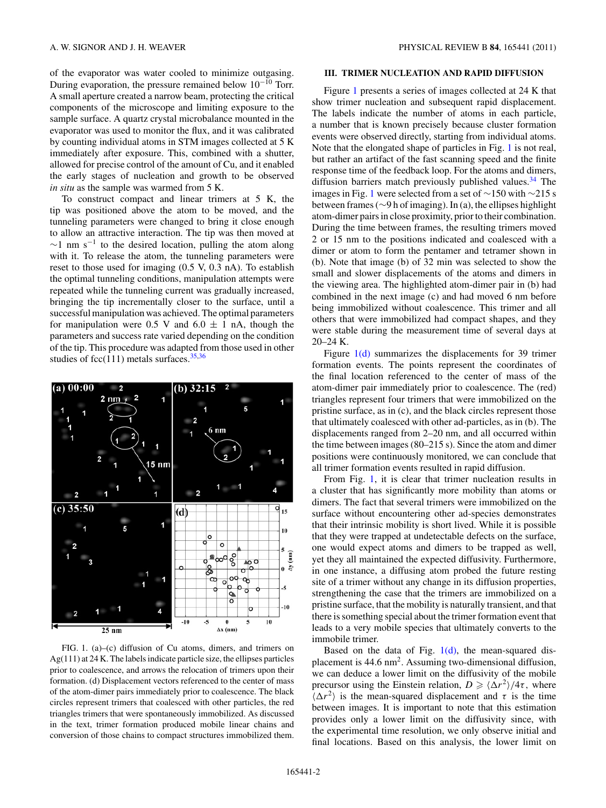<span id="page-1-0"></span>of the evaporator was water cooled to minimize outgasing. During evaporation, the pressure remained below 10−<sup>10</sup> Torr. A small aperture created a narrow beam, protecting the critical components of the microscope and limiting exposure to the sample surface. A quartz crystal microbalance mounted in the evaporator was used to monitor the flux, and it was calibrated by counting individual atoms in STM images collected at 5 K immediately after exposure. This, combined with a shutter, allowed for precise control of the amount of Cu, and it enabled the early stages of nucleation and growth to be observed *in situ* as the sample was warmed from 5 K.

To construct compact and linear trimers at 5 K, the tip was positioned above the atom to be moved, and the tunneling parameters were changed to bring it close enough to allow an attractive interaction. The tip was then moved at  $\sim$ 1 nm s<sup>-1</sup> to the desired location, pulling the atom along with it. To release the atom, the tunneling parameters were reset to those used for imaging (0.5 V, 0.3 nA). To establish the optimal tunneling conditions, manipulation attempts were repeated while the tunneling current was gradually increased, bringing the tip incrementally closer to the surface, until a successful manipulation was achieved. The optimal parameters for manipulation were 0.5 V and  $6.0 \pm 1$  nA, though the parameters and success rate varied depending on the condition of the tip. This procedure was adapted from those used in other studies of fcc(111) metals surfaces. $35,36$ 



FIG. 1. (a)–(c) diffusion of Cu atoms, dimers, and trimers on Ag(111) at 24 K. The labels indicate particle size, the ellipses particles prior to coalescence, and arrows the relocation of trimers upon their formation. (d) Displacement vectors referenced to the center of mass of the atom-dimer pairs immediately prior to coalescence. The black circles represent trimers that coalesced with other particles, the red triangles trimers that were spontaneously immobilized. As discussed in the text, trimer formation produced mobile linear chains and conversion of those chains to compact structures immobilized them.

#### **III. TRIMER NUCLEATION AND RAPID DIFFUSION**

Figure 1 presents a series of images collected at 24 K that show trimer nucleation and subsequent rapid displacement. The labels indicate the number of atoms in each particle, a number that is known precisely because cluster formation events were observed directly, starting from individual atoms. Note that the elongated shape of particles in Fig. 1 is not real, but rather an artifact of the fast scanning speed and the finite response time of the feedback loop. For the atoms and dimers, diffusion barriers match previously published values.<sup>[34](#page-5-0)</sup> The images in Fig. 1 were selected from a set of ∼150 with ∼215 s between frames (∼9 h of imaging). In (a), the ellipses highlight atom-dimer pairs in close proximity, prior to their combination. During the time between frames, the resulting trimers moved 2 or 15 nm to the positions indicated and coalesced with a dimer or atom to form the pentamer and tetramer shown in (b). Note that image (b) of 32 min was selected to show the small and slower displacements of the atoms and dimers in the viewing area. The highlighted atom-dimer pair in (b) had combined in the next image (c) and had moved 6 nm before being immobilized without coalescence. This trimer and all others that were immobilized had compact shapes, and they were stable during the measurement time of several days at 20–24 K.

Figure 1(d) summarizes the displacements for 39 trimer formation events. The points represent the coordinates of the final location referenced to the center of mass of the atom-dimer pair immediately prior to coalescence. The (red) triangles represent four trimers that were immobilized on the pristine surface, as in (c), and the black circles represent those that ultimately coalesced with other ad-particles, as in (b). The displacements ranged from 2–20 nm, and all occurred within the time between images (80–215 s). Since the atom and dimer positions were continuously monitored, we can conclude that all trimer formation events resulted in rapid diffusion.

From Fig. 1, it is clear that trimer nucleation results in a cluster that has significantly more mobility than atoms or dimers. The fact that several trimers were immobilized on the surface without encountering other ad-species demonstrates that their intrinsic mobility is short lived. While it is possible that they were trapped at undetectable defects on the surface, one would expect atoms and dimers to be trapped as well, yet they all maintained the expected diffusivity. Furthermore, in one instance, a diffusing atom probed the future resting site of a trimer without any change in its diffusion properties, strengthening the case that the trimers are immobilized on a pristine surface, that the mobility is naturally transient, and that there is something special about the trimer formation event that leads to a very mobile species that ultimately converts to the immobile trimer.

Based on the data of Fig.  $1(d)$ , the mean-squared displacement is 44.6 nm<sup>2</sup>. Assuming two-dimensional diffusion, we can deduce a lower limit on the diffusivity of the mobile precursor using the Einstein relation,  $D \ge \frac{\langle \Delta r^2 \rangle}{4\tau}$ , where  $\langle \Delta r^2 \rangle$  is the mean-squared displacement and  $\tau$  is the time between images. It is important to note that this estimation provides only a lower limit on the diffusivity since, with the experimental time resolution, we only observe initial and final locations. Based on this analysis, the lower limit on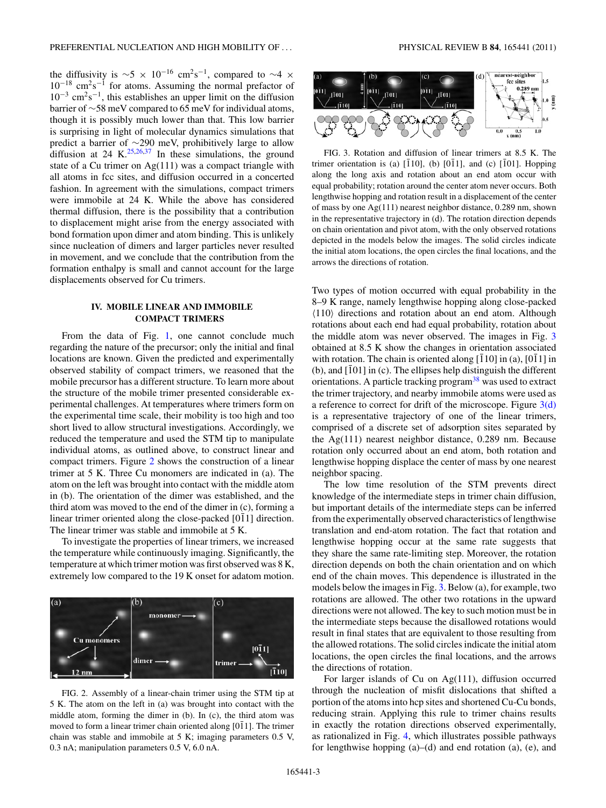the diffusivity is  $\sim$ 5 × 10<sup>-16</sup> cm<sup>2</sup>s<sup>-1</sup>, compared to ~4 ×  $10^{-18}$  cm<sup>2</sup>s<sup>-1</sup> for atoms. Assuming the normal prefactor of  $10^{-3}$  cm<sup>2</sup>s<sup>-1</sup>, this establishes an upper limit on the diffusion barrier of ∼58 meV compared to 65 meV for individual atoms, though it is possibly much lower than that. This low barrier is surprising in light of molecular dynamics simulations that predict a barrier of ∼290 meV, prohibitively large to allow diffusion at 24 K.<sup>[25,26,37](#page-5-0)</sup> In these simulations, the ground state of a Cu trimer on Ag(111) was a compact triangle with all atoms in fcc sites, and diffusion occurred in a concerted fashion. In agreement with the simulations, compact trimers were immobile at 24 K. While the above has considered thermal diffusion, there is the possibility that a contribution to displacement might arise from the energy associated with bond formation upon dimer and atom binding. This is unlikely since nucleation of dimers and larger particles never resulted in movement, and we conclude that the contribution from the formation enthalpy is small and cannot account for the large displacements observed for Cu trimers.

## **IV. MOBILE LINEAR AND IMMOBILE COMPACT TRIMERS**

From the data of Fig. [1,](#page-1-0) one cannot conclude much regarding the nature of the precursor; only the initial and final locations are known. Given the predicted and experimentally observed stability of compact trimers, we reasoned that the mobile precursor has a different structure. To learn more about the structure of the mobile trimer presented considerable experimental challenges. At temperatures where trimers form on the experimental time scale, their mobility is too high and too short lived to allow structural investigations. Accordingly, we reduced the temperature and used the STM tip to manipulate individual atoms, as outlined above, to construct linear and compact trimers. Figure 2 shows the construction of a linear trimer at 5 K. Three Cu monomers are indicated in (a). The atom on the left was brought into contact with the middle atom in (b). The orientation of the dimer was established, and the third atom was moved to the end of the dimer in (c), forming a linear trimer oriented along the close-packed [011] direction. The linear trimer was stable and immobile at 5 K.

To investigate the properties of linear trimers, we increased the temperature while continuously imaging. Significantly, the temperature at which trimer motion was first observed was 8 K, extremely low compared to the 19 K onset for adatom motion.



FIG. 2. Assembly of a linear-chain trimer using the STM tip at 5 K. The atom on the left in (a) was brought into contact with the middle atom, forming the dimer in (b). In (c), the third atom was moved to form a linear trimer chain oriented along  $[0\overline{1}1]$ . The trimer chain was stable and immobile at 5 K; imaging parameters 0.5 V, 0.3 nA; manipulation parameters 0.5 V, 6.0 nA.



FIG. 3. Rotation and diffusion of linear trimers at 8.5 K. The trimer orientation is (a)  $[\overline{1}10]$ , (b)  $[0\overline{1}1]$ , and (c)  $[\overline{1}01]$ . Hopping along the long axis and rotation about an end atom occur with equal probability; rotation around the center atom never occurs. Both lengthwise hopping and rotation result in a displacement of the center of mass by one Ag(111) nearest neighbor distance, 0.289 nm, shown in the representative trajectory in (d). The rotation direction depends on chain orientation and pivot atom, with the only observed rotations depicted in the models below the images. The solid circles indicate the initial atom locations, the open circles the final locations, and the arrows the directions of rotation.

Two types of motion occurred with equal probability in the 8–9 K range, namely lengthwise hopping along close-packed  $\langle 110 \rangle$  directions and rotation about an end atom. Although rotations about each end had equal probability, rotation about the middle atom was never observed. The images in Fig. 3 obtained at 8.5 K show the changes in orientation associated with rotation. The chain is oriented along  $[110]$  in (a),  $[011]$  in (b), and  $[\bar{1}01]$  in (c). The ellipses help distinguish the different orientations. A particle tracking program<sup>38</sup> was used to extract the trimer trajectory, and nearby immobile atoms were used as a reference to correct for drift of the microscope. Figure  $3(d)$ is a representative trajectory of one of the linear trimers, comprised of a discrete set of adsorption sites separated by the Ag(111) nearest neighbor distance, 0.289 nm. Because rotation only occurred about an end atom, both rotation and lengthwise hopping displace the center of mass by one nearest neighbor spacing.

The low time resolution of the STM prevents direct knowledge of the intermediate steps in trimer chain diffusion, but important details of the intermediate steps can be inferred from the experimentally observed characteristics of lengthwise translation and end-atom rotation. The fact that rotation and lengthwise hopping occur at the same rate suggests that they share the same rate-limiting step. Moreover, the rotation direction depends on both the chain orientation and on which end of the chain moves. This dependence is illustrated in the models below the images in Fig. 3. Below (a), for example, two rotations are allowed. The other two rotations in the upward directions were not allowed. The key to such motion must be in the intermediate steps because the disallowed rotations would result in final states that are equivalent to those resulting from the allowed rotations. The solid circles indicate the initial atom locations, the open circles the final locations, and the arrows the directions of rotation.

For larger islands of Cu on Ag(111), diffusion occurred through the nucleation of misfit dislocations that shifted a portion of the atoms into hcp sites and shortened Cu-Cu bonds, reducing strain. Applying this rule to trimer chains results in exactly the rotation directions observed experimentally, as rationalized in Fig. [4,](#page-3-0) which illustrates possible pathways for lengthwise hopping (a)–(d) and end rotation (a), (e), and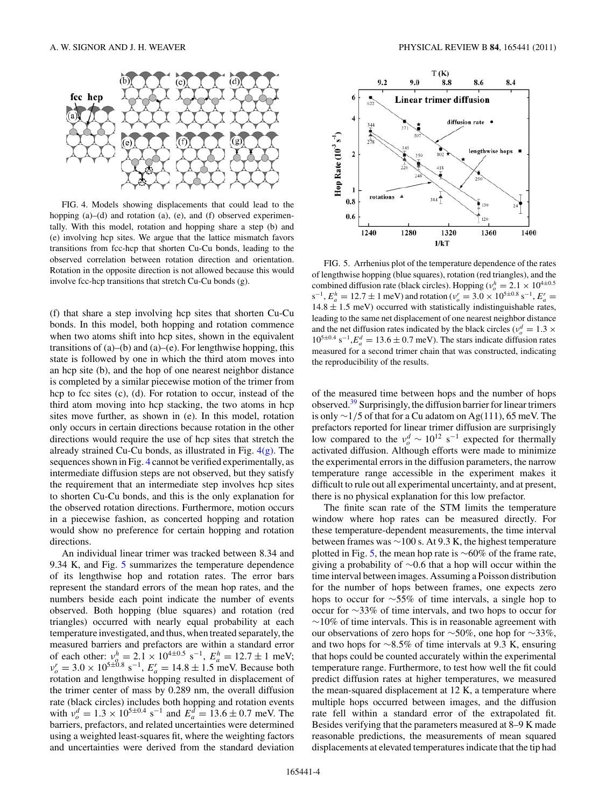<span id="page-3-0"></span>

FIG. 4. Models showing displacements that could lead to the hopping (a)–(d) and rotation (a), (e), and (f) observed experimentally. With this model, rotation and hopping share a step (b) and (e) involving hcp sites. We argue that the lattice mismatch favors transitions from fcc-hcp that shorten Cu-Cu bonds, leading to the observed correlation between rotation direction and orientation. Rotation in the opposite direction is not allowed because this would involve fcc-hcp transitions that stretch Cu-Cu bonds (g).

(f) that share a step involving hcp sites that shorten Cu-Cu bonds. In this model, both hopping and rotation commence when two atoms shift into hcp sites, shown in the equivalent transitions of  $(a)$ – $(b)$  and  $(a)$ – $(e)$ . For lengthwise hopping, this state is followed by one in which the third atom moves into an hcp site (b), and the hop of one nearest neighbor distance is completed by a similar piecewise motion of the trimer from hcp to fcc sites (c), (d). For rotation to occur, instead of the third atom moving into hcp stacking, the two atoms in hcp sites move further, as shown in (e). In this model, rotation only occurs in certain directions because rotation in the other directions would require the use of hcp sites that stretch the already strained Cu-Cu bonds, as illustrated in Fig.  $4(g)$ . The sequences shown in Fig. 4 cannot be verified experimentally, as intermediate diffusion steps are not observed, but they satisfy the requirement that an intermediate step involves hcp sites to shorten Cu-Cu bonds, and this is the only explanation for the observed rotation directions. Furthermore, motion occurs in a piecewise fashion, as concerted hopping and rotation would show no preference for certain hopping and rotation directions.

An individual linear trimer was tracked between 8.34 and 9.34 K, and Fig. 5 summarizes the temperature dependence of its lengthwise hop and rotation rates. The error bars represent the standard errors of the mean hop rates, and the numbers beside each point indicate the number of events observed. Both hopping (blue squares) and rotation (red triangles) occurred with nearly equal probability at each temperature investigated, and thus, when treated separately, the measured barriers and prefactors are within a standard error of each other:  $v_a^h = 2.1 \times 10^{4 \pm 0.5} \text{ s}^{-1}$ ,  $E_a^h = 12.7 \pm 1 \text{ meV}$ ;  $v_p^r = 3.0 \times 10^{5 \pm 0.8}$  s<sup>-1</sup>,  $E_a^r = 14.8 \pm 1.5$  meV. Because both rotation and lengthwise hopping resulted in displacement of the trimer center of mass by 0.289 nm, the overall diffusion rate (black circles) includes both hopping and rotation events with  $v_o^d = 1.3 \times 10^{5 \pm 0.4} \text{ s}^{-1}$  and  $E_a^d = 13.6 \pm 0.7 \text{ meV}$ . The barriers, prefactors, and related uncertainties were determined using a weighted least-squares fit, where the weighting factors and uncertainties were derived from the standard deviation



FIG. 5. Arrhenius plot of the temperature dependence of the rates of lengthwise hopping (blue squares), rotation (red triangles), and the combined diffusion rate (black circles). Hopping ( $v_o^h = 2.1 \times 10^{4 \pm 0.5}$  $s^{-1}$ ,  $E_a^h = 12.7 \pm 1$  meV) and rotation ( $v_o^r = 3.0 \times 10^{5 \pm 0.8}$  s<sup>-1</sup>,  $E_a^r =$  $14.8 \pm 1.5$  meV) occurred with statistically indistinguishable rates, leading to the same net displacement of one nearest neighbor distance and the net diffusion rates indicated by the black circles ( $v_o^d = 1.3 \times 10^{4}$  $10^{5\pm0.4}$  s<sup>-1</sup>, $E_a^d = 13.6 \pm 0.7$  meV). The stars indicate diffusion rates measured for a second trimer chain that was constructed, indicating the reproducibility of the results.

of the measured time between hops and the number of hops observed.[39](#page-5-0) Surprisingly, the diffusion barrier for linear trimers is only ∼1*/*5 of that for a Cu adatom on Ag(111), 65 meV. The prefactors reported for linear trimer diffusion are surprisingly low compared to the  $v_o^d \sim 10^{12}$  s<sup>-1</sup> expected for thermally activated diffusion. Although efforts were made to minimize the experimental errors in the diffusion parameters, the narrow temperature range accessible in the experiment makes it difficult to rule out all experimental uncertainty, and at present, there is no physical explanation for this low prefactor.

The finite scan rate of the STM limits the temperature window where hop rates can be measured directly. For these temperature-dependent measurements, the time interval between frames was ∼100 s. At 9.3 K, the highest temperature plotted in Fig. 5, the mean hop rate is ∼60% of the frame rate, giving a probability of ∼0.6 that a hop will occur within the time interval between images. Assuming a Poisson distribution for the number of hops between frames, one expects zero hops to occur for ∼55% of time intervals, a single hop to occur for ∼33% of time intervals, and two hops to occur for  $~\sim$ 10% of time intervals. This is in reasonable agreement with our observations of zero hops for ∼50%, one hop for ∼33%, and two hops for ∼8.5% of time intervals at 9.3 K, ensuring that hops could be counted accurately within the experimental temperature range. Furthermore, to test how well the fit could predict diffusion rates at higher temperatures, we measured the mean-squared displacement at 12 K, a temperature where multiple hops occurred between images, and the diffusion rate fell within a standard error of the extrapolated fit. Besides verifying that the parameters measured at 8–9 K made reasonable predictions, the measurements of mean squared displacements at elevated temperatures indicate that the tip had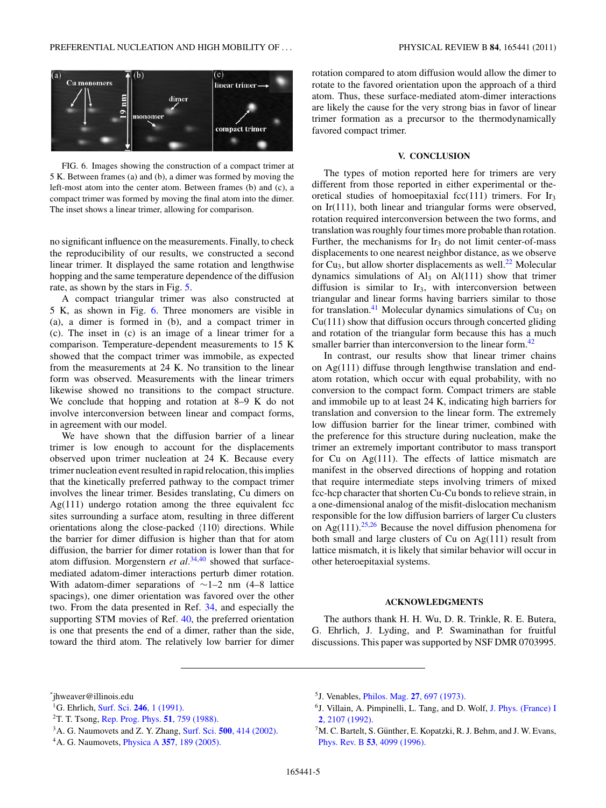<span id="page-4-0"></span>

FIG. 6. Images showing the construction of a compact trimer at 5 K. Between frames (a) and (b), a dimer was formed by moving the left-most atom into the center atom. Between frames (b) and (c), a compact trimer was formed by moving the final atom into the dimer. The inset shows a linear trimer, allowing for comparison.

no significant influence on the measurements. Finally, to check the reproducibility of our results, we constructed a second linear trimer. It displayed the same rotation and lengthwise hopping and the same temperature dependence of the diffusion rate, as shown by the stars in Fig. [5.](#page-3-0)

A compact triangular trimer was also constructed at 5 K, as shown in Fig. 6. Three monomers are visible in (a), a dimer is formed in (b), and a compact trimer in (c). The inset in (c) is an image of a linear trimer for a comparison. Temperature-dependent measurements to 15 K showed that the compact trimer was immobile, as expected from the measurements at 24 K. No transition to the linear form was observed. Measurements with the linear trimers likewise showed no transitions to the compact structure. We conclude that hopping and rotation at 8–9 K do not involve interconversion between linear and compact forms, in agreement with our model.

We have shown that the diffusion barrier of a linear trimer is low enough to account for the displacements observed upon trimer nucleation at 24 K. Because every trimer nucleation event resulted in rapid relocation, this implies that the kinetically preferred pathway to the compact trimer involves the linear trimer. Besides translating, Cu dimers on  $Ag(111)$  undergo rotation among the three equivalent fcc sites surrounding a surface atom, resulting in three different orientations along the close-packed  $\langle 110 \rangle$  directions. While the barrier for dimer diffusion is higher than that for atom diffusion, the barrier for dimer rotation is lower than that for atom diffusion. Morgenstern *et al.*[34,40](#page-5-0) showed that surfacemediated adatom-dimer interactions perturb dimer rotation. With adatom-dimer separations of ∼1–2 nm (4–8 lattice spacings), one dimer orientation was favored over the other two. From the data presented in Ref. [34,](#page-5-0) and especially the supporting STM movies of Ref. [40,](#page-5-0) the preferred orientation is one that presents the end of a dimer, rather than the side, toward the third atom. The relatively low barrier for dimer rotation compared to atom diffusion would allow the dimer to rotate to the favored orientation upon the approach of a third atom. Thus, these surface-mediated atom-dimer interactions are likely the cause for the very strong bias in favor of linear trimer formation as a precursor to the thermodynamically favored compact trimer.

### **V. CONCLUSION**

The types of motion reported here for trimers are very different from those reported in either experimental or theoretical studies of homoepitaxial fcc(111) trimers. For  $Ir<sub>3</sub>$ on Ir(111), both linear and triangular forms were observed, rotation required interconversion between the two forms, and translation was roughly four times more probable than rotation. Further, the mechanisms for  $Ir<sub>3</sub>$  do not limit center-of-mass displacements to one nearest neighbor distance, as we observe for  $Cu<sub>3</sub>$ , but allow shorter displacements as well.<sup>22</sup> Molecular dynamics simulations of  $\text{Al}_3$  on  $\text{Al}(111)$  show that trimer diffusion is similar to  $Ir<sub>3</sub>$ , with interconversion between triangular and linear forms having barriers similar to those for translation.<sup>[41](#page-5-0)</sup> Molecular dynamics simulations of Cu<sub>3</sub> on  $Cu(111)$  show that diffusion occurs through concerted gliding and rotation of the triangular form because this has a much smaller barrier than interconversion to the linear form.<sup>[42](#page-5-0)</sup>

In contrast, our results show that linear trimer chains on Ag(111) diffuse through lengthwise translation and endatom rotation, which occur with equal probability, with no conversion to the compact form. Compact trimers are stable and immobile up to at least 24 K, indicating high barriers for translation and conversion to the linear form. The extremely low diffusion barrier for the linear trimer, combined with the preference for this structure during nucleation, make the trimer an extremely important contributor to mass transport for Cu on Ag(111). The effects of lattice mismatch are manifest in the observed directions of hopping and rotation that require intermediate steps involving trimers of mixed fcc-hcp character that shorten Cu-Cu bonds to relieve strain, in a one-dimensional analog of the misfit-dislocation mechanism responsible for the low diffusion barriers of larger Cu clusters on  $Ag(111).^{25,26}$  $Ag(111).^{25,26}$  $Ag(111).^{25,26}$  Because the novel diffusion phenomena for both small and large clusters of Cu on Ag(111) result from lattice mismatch, it is likely that similar behavior will occur in other heteroepitaxial systems.

#### **ACKNOWLEDGMENTS**

The authors thank H. H. Wu, D. R. Trinkle, R. E. Butera, G. Ehrlich, J. Lyding, and P. Swaminathan for fruitful discussions. This paper was supported by NSF DMR 0703995.

- 1G. Ehrlich, Surf. Sci. **246**[, 1 \(1991\).](http://dx.doi.org/10.1016/0039-6028(91)90385-6)
- 2T. T. Tsong, [Rep. Prog. Phys.](http://dx.doi.org/10.1088/0034-4885/51/6/001) **51**, 759 (1988).
- 3A. G. Naumovets and Z. Y. Zhang, Surf. Sci. **500**[, 414 \(2002\).](http://dx.doi.org/10.1016/S0039-6028(01)01539-4)
- 4A. G. Naumovets, Physica A **357**[, 189 \(2005\).](http://dx.doi.org/10.1016/j.physa.2005.06.027)

5J. Venables, Philos. Mag. **27**[, 697 \(1973\).](http://dx.doi.org/10.1080/14786437308219242)

<sup>\*</sup> jhweaver@illinois.edu

<sup>&</sup>lt;sup>6</sup>J. Villain, A. Pimpinelli, L. Tang, and D. Wolf, [J. Phys. \(France\) I](http://dx.doi.org/10.1051/jp1:1992271) **2**[, 2107 \(1992\).](http://dx.doi.org/10.1051/jp1:1992271)

 ${}^{7}M$ . C. Bartelt, S. Günther, E. Kopatzki, R. J. Behm, and J. W. Evans, Phys. Rev. B **53**[, 4099 \(1996\).](http://dx.doi.org/10.1103/PhysRevB.53.4099)